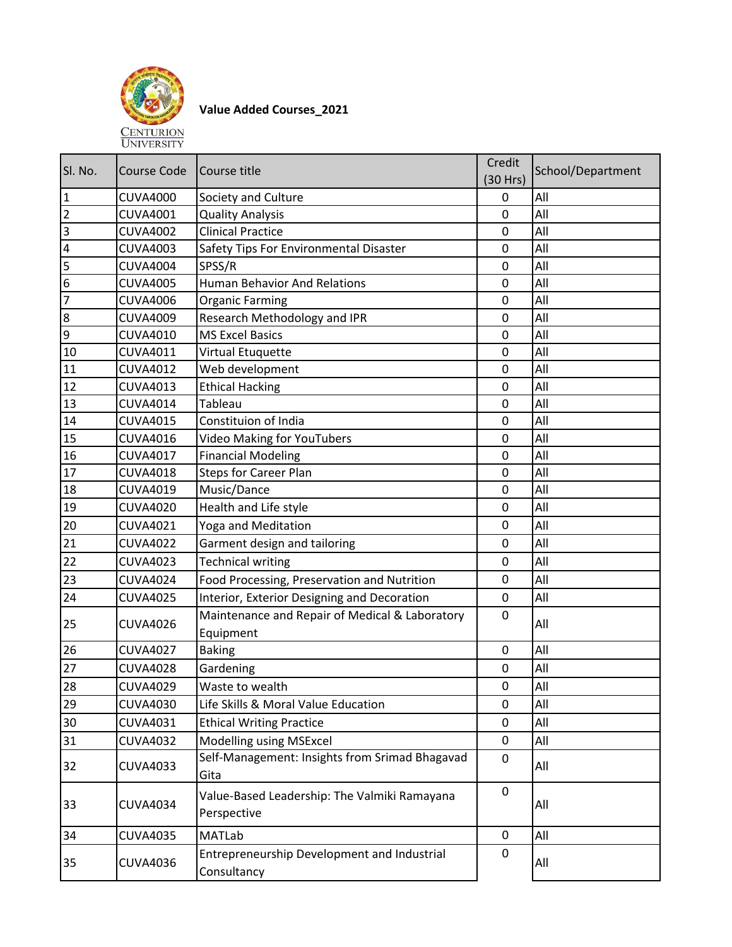

## **Value Added Courses\_2021**

| SI. No.        | <b>Course Code</b> | Course title                                                | Credit<br>(30 Hrs) | School/Department |
|----------------|--------------------|-------------------------------------------------------------|--------------------|-------------------|
| $\mathbf{1}$   | <b>CUVA4000</b>    | Society and Culture                                         | 0                  | All               |
| $\overline{2}$ | <b>CUVA4001</b>    | <b>Quality Analysis</b>                                     | 0                  | All               |
| 3              | <b>CUVA4002</b>    | <b>Clinical Practice</b>                                    | 0                  | All               |
| 4              | <b>CUVA4003</b>    | Safety Tips For Environmental Disaster                      | $\mathbf 0$        | All               |
| 5              | <b>CUVA4004</b>    | SPSS/R                                                      | $\mathbf 0$        | All               |
| 6              | <b>CUVA4005</b>    | <b>Human Behavior And Relations</b>                         | $\mathbf 0$        | All               |
| 7              | <b>CUVA4006</b>    | <b>Organic Farming</b>                                      | $\mathbf 0$        | All               |
| 8              | <b>CUVA4009</b>    | Research Methodology and IPR                                | 0                  | All               |
| $\overline{9}$ | <b>CUVA4010</b>    | <b>MS Excel Basics</b>                                      | $\overline{0}$     | All               |
| 10             | <b>CUVA4011</b>    | Virtual Etuquette                                           | 0                  | All               |
| 11             | <b>CUVA4012</b>    | Web development                                             | $\mathbf 0$        | All               |
| 12             | <b>CUVA4013</b>    | <b>Ethical Hacking</b>                                      | $\mathbf 0$        | All               |
| 13             | <b>CUVA4014</b>    | Tableau                                                     | 0                  | All               |
| 14             | <b>CUVA4015</b>    | Constituion of India                                        | $\mathbf 0$        | All               |
| 15             | <b>CUVA4016</b>    | <b>Video Making for YouTubers</b>                           | $\mathbf 0$        | All               |
| 16             | <b>CUVA4017</b>    | <b>Financial Modeling</b>                                   | 0                  | All               |
| 17             | <b>CUVA4018</b>    | <b>Steps for Career Plan</b>                                | 0                  | All               |
| 18             | <b>CUVA4019</b>    | Music/Dance                                                 | 0                  | All               |
| 19             | <b>CUVA4020</b>    | Health and Life style                                       | $\mathbf 0$        | All               |
| 20             | <b>CUVA4021</b>    | Yoga and Meditation                                         | 0                  | All               |
| 21             | <b>CUVA4022</b>    | Garment design and tailoring                                | $\mathbf 0$        | All               |
| 22             | <b>CUVA4023</b>    | <b>Technical writing</b>                                    | 0                  | All               |
| 23             | <b>CUVA4024</b>    | Food Processing, Preservation and Nutrition                 | 0                  | All               |
| 24             | <b>CUVA4025</b>    | Interior, Exterior Designing and Decoration                 | 0                  | All               |
| 25             | <b>CUVA4026</b>    | Maintenance and Repair of Medical & Laboratory<br>Equipment | 0                  | All               |
| 26             | <b>CUVA4027</b>    | <b>Baking</b>                                               | $\mathbf 0$        | All               |
| 27             | <b>CUVA4028</b>    | Gardening                                                   | 0                  | All               |
| 28             | <b>CUVA4029</b>    | Waste to wealth                                             | $\pmb{0}$          | All               |
| 29             | <b>CUVA4030</b>    | Life Skills & Moral Value Education                         | 0                  | All               |
| 30             | <b>CUVA4031</b>    | <b>Ethical Writing Practice</b>                             | 0                  | All               |
| 31             | <b>CUVA4032</b>    | Modelling using MSExcel                                     | 0                  | All               |
| 32             | <b>CUVA4033</b>    | Self-Management: Insights from Srimad Bhagavad<br>Gita      | $\mathbf{0}$       | All               |
| 33             | <b>CUVA4034</b>    | Value-Based Leadership: The Valmiki Ramayana<br>Perspective | 0                  | All               |
| 34             | <b>CUVA4035</b>    | <b>MATLab</b>                                               | 0                  | All               |
| 35             | <b>CUVA4036</b>    | Entrepreneurship Development and Industrial<br>Consultancy  | 0                  | All               |